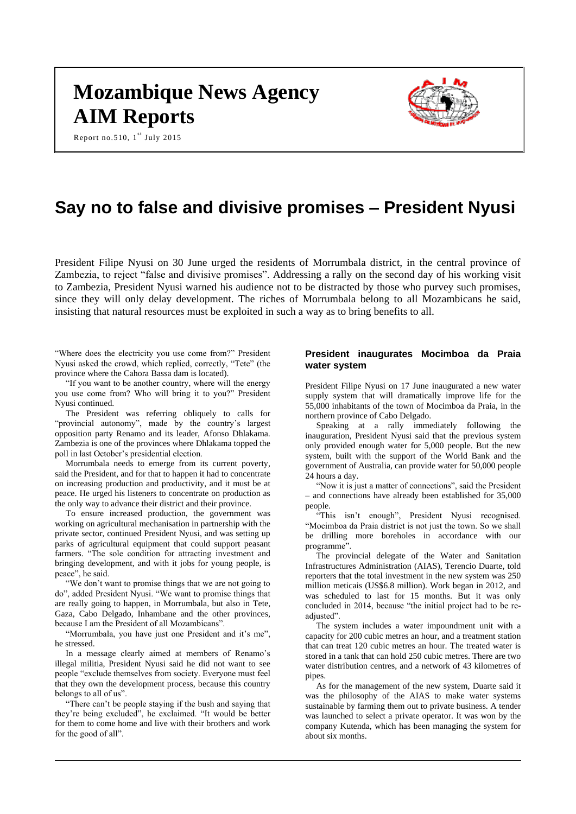# **Mozambique News Agency AIM Reports**



Report no.510,  $1^{st}$  July 2015

# **Say no to false and divisive promises – President Nyusi**

President Filipe Nyusi on 30 June urged the residents of Morrumbala district, in the central province of Zambezia, to reject "false and divisive promises". Addressing a rally on the second day of his working visit to Zambezia, President Nyusi warned his audience not to be distracted by those who purvey such promises, since they will only delay development. The riches of Morrumbala belong to all Mozambicans he said, insisting that natural resources must be exploited in such a way as to bring benefits to all.

"Where does the electricity you use come from?" President Nyusi asked the crowd, which replied, correctly, "Tete" (the province where the Cahora Bassa dam is located).

"If you want to be another country, where will the energy you use come from? Who will bring it to you?" President Nyusi continued.

The President was referring obliquely to calls for "provincial autonomy", made by the country's largest opposition party Renamo and its leader, Afonso Dhlakama. Zambezia is one of the provinces where Dhlakama topped the poll in last October's presidential election.

Morrumbala needs to emerge from its current poverty, said the President, and for that to happen it had to concentrate on increasing production and productivity, and it must be at peace. He urged his listeners to concentrate on production as the only way to advance their district and their province.

To ensure increased production, the government was working on agricultural mechanisation in partnership with the private sector, continued President Nyusi, and was setting up parks of agricultural equipment that could support peasant farmers. "The sole condition for attracting investment and bringing development, and with it jobs for young people, is peace", he said.

"We don't want to promise things that we are not going to do", added President Nyusi. "We want to promise things that are really going to happen, in Morrumbala, but also in Tete, Gaza, Cabo Delgado, Inhambane and the other provinces, because I am the President of all Mozambicans".

"Morrumbala, you have just one President and it's me", he stressed.

In a message clearly aimed at members of Renamo's illegal militia, President Nyusi said he did not want to see people "exclude themselves from society. Everyone must feel that they own the development process, because this country belongs to all of us".

"There can't be people staying if the bush and saying that they're being excluded", he exclaimed. "It would be better for them to come home and live with their brothers and work for the good of all".

# **President inaugurates Mocimboa da Praia water system**

President Filipe Nyusi on 17 June inaugurated a new water supply system that will dramatically improve life for the 55,000 inhabitants of the town of Mocimboa da Praia, in the northern province of Cabo Delgado.

Speaking at a rally immediately following the inauguration, President Nyusi said that the previous system only provided enough water for 5,000 people. But the new system, built with the support of the World Bank and the government of Australia, can provide water for 50,000 people 24 hours a day.

"Now it is just a matter of connections", said the President – and connections have already been established for 35,000 people.

"This isn't enough", President Nyusi recognised. "Mocimboa da Praia district is not just the town. So we shall be drilling more boreholes in accordance with our programme".

The provincial delegate of the Water and Sanitation Infrastructures Administration (AIAS), Terencio Duarte, told reporters that the total investment in the new system was 250 million meticais (US\$6.8 million). Work began in 2012, and was scheduled to last for 15 months. But it was only concluded in 2014, because "the initial project had to be readjusted".

The system includes a water impoundment unit with a capacity for 200 cubic metres an hour, and a treatment station that can treat 120 cubic metres an hour. The treated water is stored in a tank that can hold 250 cubic metres. There are two water distribution centres, and a network of 43 kilometres of pipes.

As for the management of the new system, Duarte said it was the philosophy of the AIAS to make water systems sustainable by farming them out to private business. A tender was launched to select a private operator. It was won by the company Kutenda, which has been managing the system for about six months.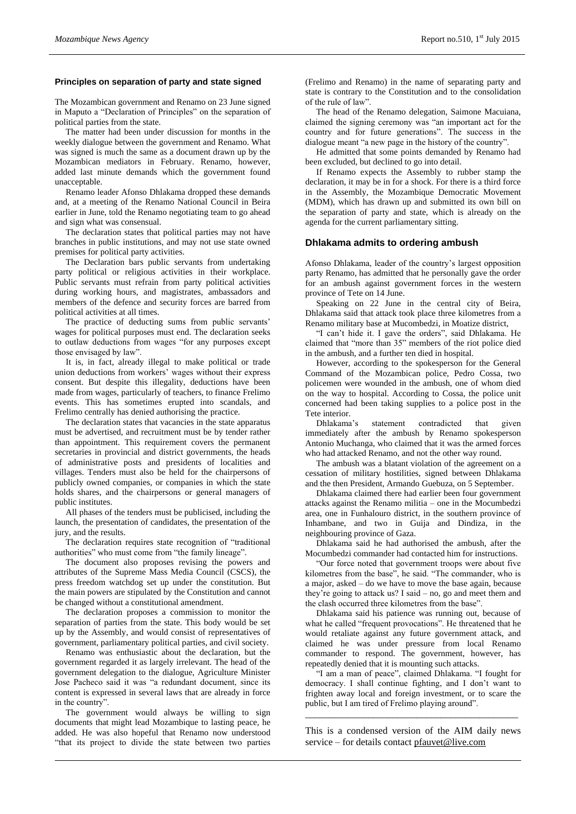#### **Principles on separation of party and state signed**

The Mozambican government and Renamo on 23 June signed in Maputo a "Declaration of Principles" on the separation of political parties from the state.

The matter had been under discussion for months in the weekly dialogue between the government and Renamo. What was signed is much the same as a document drawn up by the Mozambican mediators in February. Renamo, however, added last minute demands which the government found unacceptable.

Renamo leader Afonso Dhlakama dropped these demands and, at a meeting of the Renamo National Council in Beira earlier in June, told the Renamo negotiating team to go ahead and sign what was consensual.

The declaration states that political parties may not have branches in public institutions, and may not use state owned premises for political party activities.

The Declaration bars public servants from undertaking party political or religious activities in their workplace. Public servants must refrain from party political activities during working hours, and magistrates, ambassadors and members of the defence and security forces are barred from political activities at all times.

The practice of deducting sums from public servants' wages for political purposes must end. The declaration seeks to outlaw deductions from wages "for any purposes except those envisaged by law".

It is, in fact, already illegal to make political or trade union deductions from workers' wages without their express consent. But despite this illegality, deductions have been made from wages, particularly of teachers, to finance Frelimo events. This has sometimes erupted into scandals, and Frelimo centrally has denied authorising the practice.

The declaration states that vacancies in the state apparatus must be advertised, and recruitment must be by tender rather than appointment. This requirement covers the permanent secretaries in provincial and district governments, the heads of administrative posts and presidents of localities and villages. Tenders must also be held for the chairpersons of publicly owned companies, or companies in which the state holds shares, and the chairpersons or general managers of public institutes.

All phases of the tenders must be publicised, including the launch, the presentation of candidates, the presentation of the jury, and the results.

The declaration requires state recognition of "traditional authorities" who must come from "the family lineage".

The document also proposes revising the powers and attributes of the Supreme Mass Media Council (CSCS), the press freedom watchdog set up under the constitution. But the main powers are stipulated by the Constitution and cannot be changed without a constitutional amendment.

The declaration proposes a commission to monitor the separation of parties from the state. This body would be set up by the Assembly, and would consist of representatives of government, parliamentary political parties, and civil society.

Renamo was enthusiastic about the declaration, but the government regarded it as largely irrelevant. The head of the government delegation to the dialogue, Agriculture Minister Jose Pacheco said it was "a redundant document, since its content is expressed in several laws that are already in force in the country".

The government would always be willing to sign documents that might lead Mozambique to lasting peace, he added. He was also hopeful that Renamo now understood "that its project to divide the state between two parties (Frelimo and Renamo) in the name of separating party and state is contrary to the Constitution and to the consolidation of the rule of law".

The head of the Renamo delegation, Saimone Macuiana, claimed the signing ceremony was "an important act for the country and for future generations". The success in the dialogue meant "a new page in the history of the country".

He admitted that some points demanded by Renamo had been excluded, but declined to go into detail.

If Renamo expects the Assembly to rubber stamp the declaration, it may be in for a shock. For there is a third force in the Assembly, the Mozambique Democratic Movement (MDM), which has drawn up and submitted its own bill on the separation of party and state, which is already on the agenda for the current parliamentary sitting.

#### **Dhlakama admits to ordering ambush**

Afonso Dhlakama, leader of the country's largest opposition party Renamo, has admitted that he personally gave the order for an ambush against government forces in the western province of Tete on 14 June.

Speaking on 22 June in the central city of Beira, Dhlakama said that attack took place three kilometres from a Renamo military base at Mucombedzi, in Moatize district,

"I can't hide it. I gave the orders", said Dhlakama. He claimed that "more than 35" members of the riot police died in the ambush, and a further ten died in hospital.

However, according to the spokesperson for the General Command of the Mozambican police, Pedro Cossa, two policemen were wounded in the ambush, one of whom died on the way to hospital. According to Cossa, the police unit concerned had been taking supplies to a police post in the Tete interior.

Dhlakama's statement contradicted that given immediately after the ambush by Renamo spokesperson Antonio Muchanga, who claimed that it was the armed forces who had attacked Renamo, and not the other way round.

The ambush was a blatant violation of the agreement on a cessation of military hostilities, signed between Dhlakama and the then President, Armando Guebuza, on 5 September.

Dhlakama claimed there had earlier been four government attacks against the Renamo militia – one in the Mocumbedzi area, one in Funhalouro district, in the southern province of Inhambane, and two in Guija and Dindiza, in the neighbouring province of Gaza.

Dhlakama said he had authorised the ambush, after the Mocumbedzi commander had contacted him for instructions.

"Our force noted that government troops were about five kilometres from the base", he said. "The commander, who is a major, asked – do we have to move the base again, because they're going to attack us? I said – no, go and meet them and the clash occurred three kilometres from the base".

Dhlakama said his patience was running out, because of what he called "frequent provocations". He threatened that he would retaliate against any future government attack, and claimed he was under pressure from local Renamo commander to respond. The government, however, has repeatedly denied that it is mounting such attacks.

"I am a man of peace", claimed Dhlakama. "I fought for democracy. I shall continue fighting, and I don't want to frighten away local and foreign investment, or to scare the public, but I am tired of Frelimo playing around".

This is a condensed version of the AIM daily news service – for details contact [pfauvet@live.com](mailto:pfauvet@live.com)

\_\_\_\_\_\_\_\_\_\_\_\_\_\_\_\_\_\_\_\_\_\_\_\_\_\_\_\_\_\_\_\_\_\_\_\_\_\_\_\_\_\_\_\_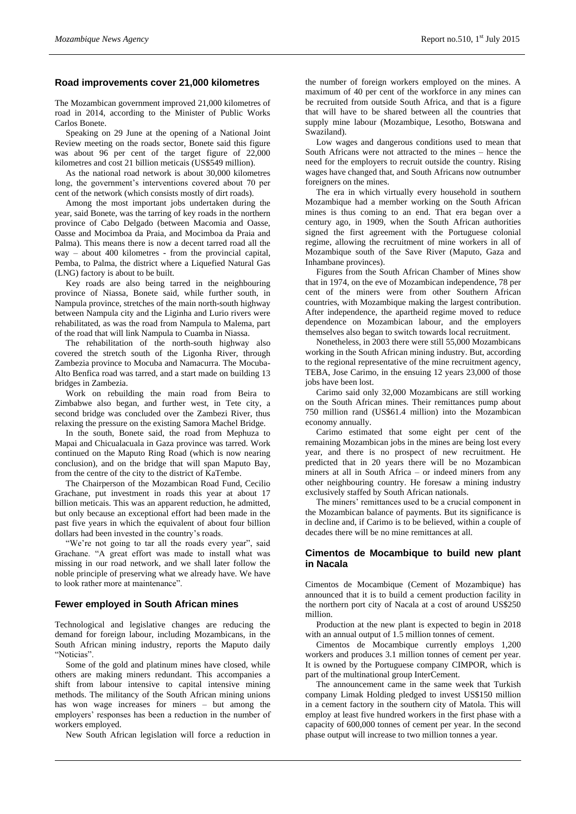# **Road improvements cover 21,000 kilometres**

The Mozambican government improved 21,000 kilometres of road in 2014, according to the Minister of Public Works Carlos Bonete.

Speaking on 29 June at the opening of a National Joint Review meeting on the roads sector, Bonete said this figure was about 96 per cent of the target figure of 22,000 kilometres and cost 21 billion meticais (US\$549 million).

As the national road network is about 30,000 kilometres long, the government's interventions covered about 70 per cent of the network (which consists mostly of dirt roads).

Among the most important jobs undertaken during the year, said Bonete, was the tarring of key roads in the northern province of Cabo Delgado (between Macomia and Oasse, Oasse and Mocimboa da Praia, and Mocimboa da Praia and Palma). This means there is now a decent tarred road all the way – about 400 kilometres - from the provincial capital, Pemba, to Palma, the district where a Liquefied Natural Gas (LNG) factory is about to be built.

Key roads are also being tarred in the neighbouring province of Niassa, Bonete said, while further south, in Nampula province, stretches of the main north-south highway between Nampula city and the Liginha and Lurio rivers were rehabilitated, as was the road from Nampula to Malema, part of the road that will link Nampula to Cuamba in Niassa.

The rehabilitation of the north-south highway also covered the stretch south of the Ligonha River, through Zambezia province to Mocuba and Namacurra. The Mocuba-Alto Benfica road was tarred, and a start made on building 13 bridges in Zambezia.

Work on rebuilding the main road from Beira to Zimbabwe also began, and further west, in Tete city, a second bridge was concluded over the Zambezi River, thus relaxing the pressure on the existing Samora Machel Bridge.

In the south, Bonete said, the road from Mephuza to Mapai and Chicualacuala in Gaza province was tarred. Work continued on the Maputo Ring Road (which is now nearing conclusion), and on the bridge that will span Maputo Bay, from the centre of the city to the district of KaTembe.

The Chairperson of the Mozambican Road Fund, Cecilio Grachane, put investment in roads this year at about 17 billion meticais. This was an apparent reduction, he admitted, but only because an exceptional effort had been made in the past five years in which the equivalent of about four billion dollars had been invested in the country's roads.

"We're not going to tar all the roads every year", said Grachane. "A great effort was made to install what was missing in our road network, and we shall later follow the noble principle of preserving what we already have. We have to look rather more at maintenance".

### **Fewer employed in South African mines**

Technological and legislative changes are reducing the demand for foreign labour, including Mozambicans, in the South African mining industry, reports the Maputo daily "Noticias".

Some of the gold and platinum mines have closed, while others are making miners redundant. This accompanies a shift from labour intensive to capital intensive mining methods. The militancy of the South African mining unions has won wage increases for miners – but among the employers' responses has been a reduction in the number of workers employed.

New South African legislation will force a reduction in

the number of foreign workers employed on the mines. A maximum of 40 per cent of the workforce in any mines can be recruited from outside South Africa, and that is a figure that will have to be shared between all the countries that supply mine labour (Mozambique, Lesotho, Botswana and Swaziland).

Low wages and dangerous conditions used to mean that South Africans were not attracted to the mines – hence the need for the employers to recruit outside the country. Rising wages have changed that, and South Africans now outnumber foreigners on the mines.

The era in which virtually every household in southern Mozambique had a member working on the South African mines is thus coming to an end. That era began over a century ago, in 1909, when the South African authorities signed the first agreement with the Portuguese colonial regime, allowing the recruitment of mine workers in all of Mozambique south of the Save River (Maputo, Gaza and Inhambane provinces).

Figures from the South African Chamber of Mines show that in 1974, on the eve of Mozambican independence, 78 per cent of the miners were from other Southern African countries, with Mozambique making the largest contribution. After independence, the apartheid regime moved to reduce dependence on Mozambican labour, and the employers themselves also began to switch towards local recruitment.

Nonetheless, in 2003 there were still 55,000 Mozambicans working in the South African mining industry. But, according to the regional representative of the mine recruitment agency, TEBA, Jose Carimo, in the ensuing 12 years 23,000 of those jobs have been lost.

Carimo said only 32,000 Mozambicans are still working on the South African mines. Their remittances pump about 750 million rand (US\$61.4 million) into the Mozambican economy annually.

Carimo estimated that some eight per cent of the remaining Mozambican jobs in the mines are being lost every year, and there is no prospect of new recruitment. He predicted that in 20 years there will be no Mozambican miners at all in South Africa – or indeed miners from any other neighbouring country. He foresaw a mining industry exclusively staffed by South African nationals.

The miners' remittances used to be a crucial component in the Mozambican balance of payments. But its significance is in decline and, if Carimo is to be believed, within a couple of decades there will be no mine remittances at all.

# **Cimentos de Mocambique to build new plant in Nacala**

Cimentos de Mocambique (Cement of Mozambique) has announced that it is to build a cement production facility in the northern port city of Nacala at a cost of around US\$250 million.

Production at the new plant is expected to begin in 2018 with an annual output of 1.5 million tonnes of cement.

Cimentos de Mocambique currently employs 1,200 workers and produces 3.1 million tonnes of cement per year. It is owned by the Portuguese company CIMPOR, which is part of the multinational group InterCement.

The announcement came in the same week that Turkish company Limak Holding pledged to invest US\$150 million in a cement factory in the southern city of Matola. This will employ at least five hundred workers in the first phase with a capacity of 600,000 tonnes of cement per year. In the second phase output will increase to two million tonnes a year.